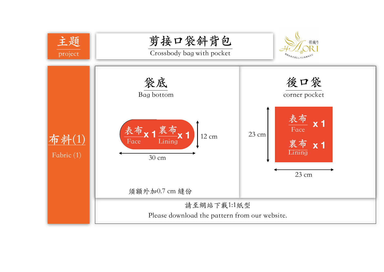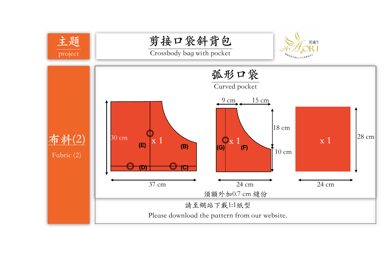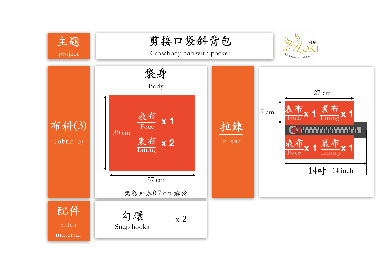